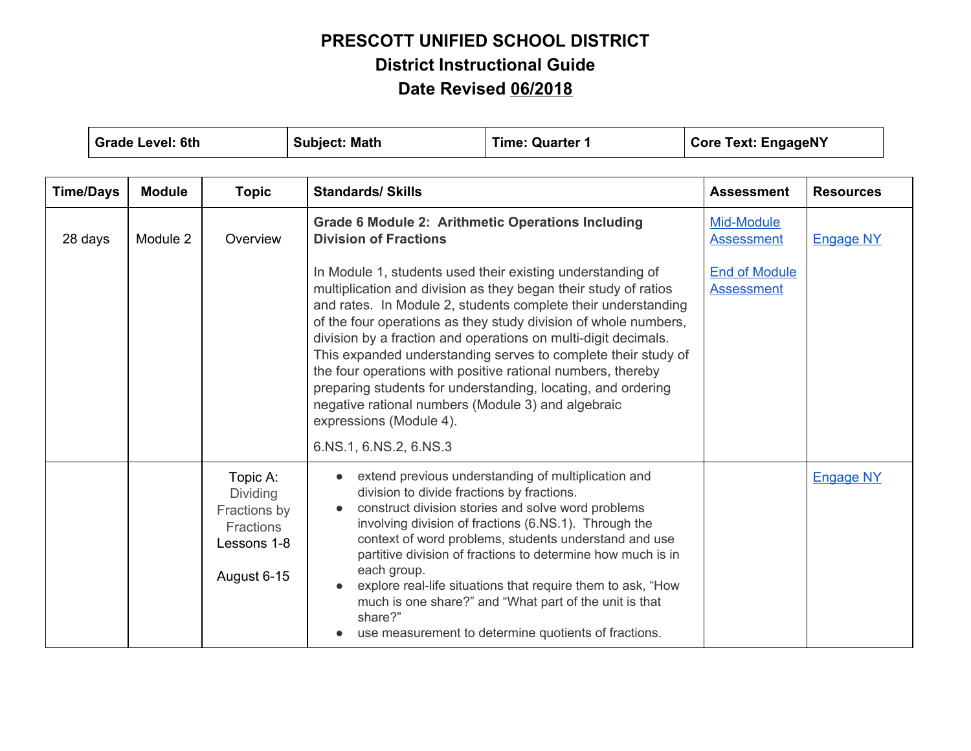| <b>Grade Level: 6th</b> |  | <b>Subject: Math</b> | <b>Time: Quarter 1</b><br><b>Core Text: EngageNY</b>                            |                                                                                   |                                                                                                                                                                                                                                                                                                                                                                                                                                                                                                                                                                                                                                                       |                   |                  |
|-------------------------|--|----------------------|---------------------------------------------------------------------------------|-----------------------------------------------------------------------------------|-------------------------------------------------------------------------------------------------------------------------------------------------------------------------------------------------------------------------------------------------------------------------------------------------------------------------------------------------------------------------------------------------------------------------------------------------------------------------------------------------------------------------------------------------------------------------------------------------------------------------------------------------------|-------------------|------------------|
| <b>Time/Days</b>        |  | <b>Module</b>        | <b>Topic</b>                                                                    | <b>Standards/ Skills</b>                                                          |                                                                                                                                                                                                                                                                                                                                                                                                                                                                                                                                                                                                                                                       | <b>Assessment</b> | <b>Resources</b> |
| 28 days                 |  | Module 2             | Overview                                                                        | <b>Division of Fractions</b><br>expressions (Module 4).<br>6.NS.1, 6.NS.2, 6.NS.3 | <b>Grade 6 Module 2: Arithmetic Operations Including</b><br>In Module 1, students used their existing understanding of<br>multiplication and division as they began their study of ratios<br>and rates. In Module 2, students complete their understanding<br>of the four operations as they study division of whole numbers,<br>division by a fraction and operations on multi-digit decimals.<br>This expanded understanding serves to complete their study of<br>the four operations with positive rational numbers, thereby<br>preparing students for understanding, locating, and ordering<br>negative rational numbers (Module 3) and algebraic |                   | <b>Engage NY</b> |
|                         |  |                      | Topic A:<br>Dividing<br>Fractions by<br>Fractions<br>Lessons 1-8<br>August 6-15 | division to divide fractions by fractions.<br>each group.<br>share?"              | extend previous understanding of multiplication and<br>construct division stories and solve word problems<br>involving division of fractions (6.NS.1). Through the<br>context of word problems, students understand and use<br>partitive division of fractions to determine how much is in<br>explore real-life situations that require them to ask, "How<br>much is one share?" and "What part of the unit is that<br>use measurement to determine quotients of fractions.                                                                                                                                                                           |                   | <b>Engage NY</b> |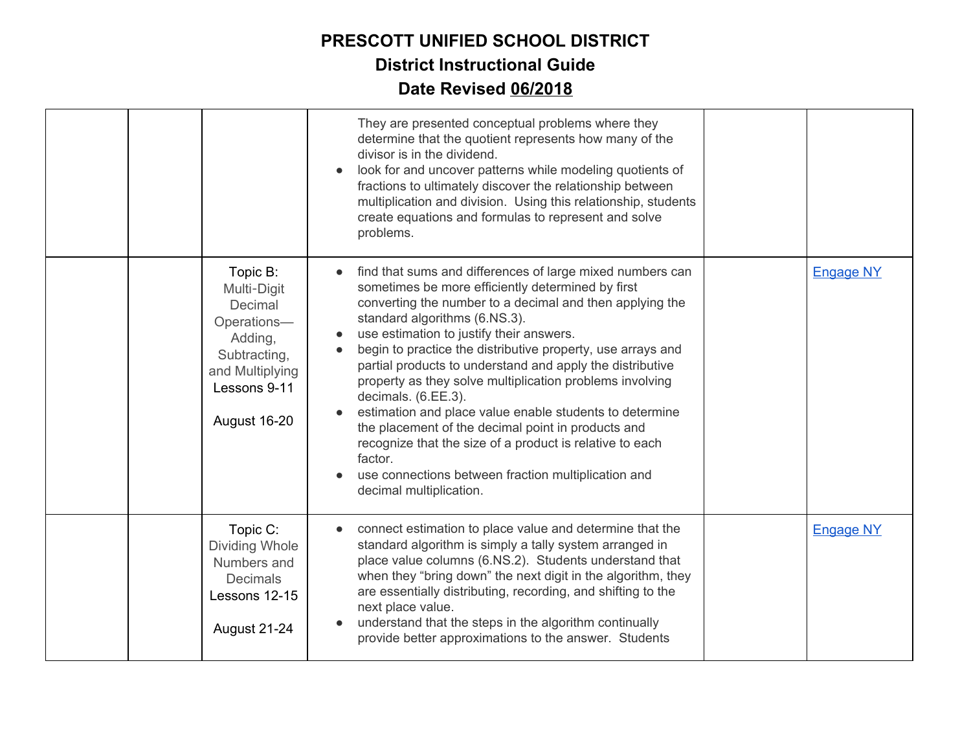|  |                                                                                                                                 | They are presented conceptual problems where they<br>determine that the quotient represents how many of the<br>divisor is in the dividend.<br>look for and uncover patterns while modeling quotients of<br>fractions to ultimately discover the relationship between<br>multiplication and division. Using this relationship, students<br>create equations and formulas to represent and solve<br>problems.                                                                                                                                                                                                                                                                                                                                      |                  |
|--|---------------------------------------------------------------------------------------------------------------------------------|--------------------------------------------------------------------------------------------------------------------------------------------------------------------------------------------------------------------------------------------------------------------------------------------------------------------------------------------------------------------------------------------------------------------------------------------------------------------------------------------------------------------------------------------------------------------------------------------------------------------------------------------------------------------------------------------------------------------------------------------------|------------------|
|  | Topic B:<br>Multi-Digit<br>Decimal<br>Operations-<br>Adding,<br>Subtracting,<br>and Multiplying<br>Lessons 9-11<br>August 16-20 | find that sums and differences of large mixed numbers can<br>sometimes be more efficiently determined by first<br>converting the number to a decimal and then applying the<br>standard algorithms (6.NS.3).<br>use estimation to justify their answers.<br>begin to practice the distributive property, use arrays and<br>partial products to understand and apply the distributive<br>property as they solve multiplication problems involving<br>decimals. (6.EE.3).<br>estimation and place value enable students to determine<br>the placement of the decimal point in products and<br>recognize that the size of a product is relative to each<br>factor.<br>use connections between fraction multiplication and<br>decimal multiplication. | <b>Engage NY</b> |
|  | Topic C:<br>Dividing Whole<br>Numbers and<br><b>Decimals</b><br>Lessons 12-15<br>August 21-24                                   | connect estimation to place value and determine that the<br>standard algorithm is simply a tally system arranged in<br>place value columns (6.NS.2). Students understand that<br>when they "bring down" the next digit in the algorithm, they<br>are essentially distributing, recording, and shifting to the<br>next place value.<br>understand that the steps in the algorithm continually<br>provide better approximations to the answer. Students                                                                                                                                                                                                                                                                                            | <b>Engage NY</b> |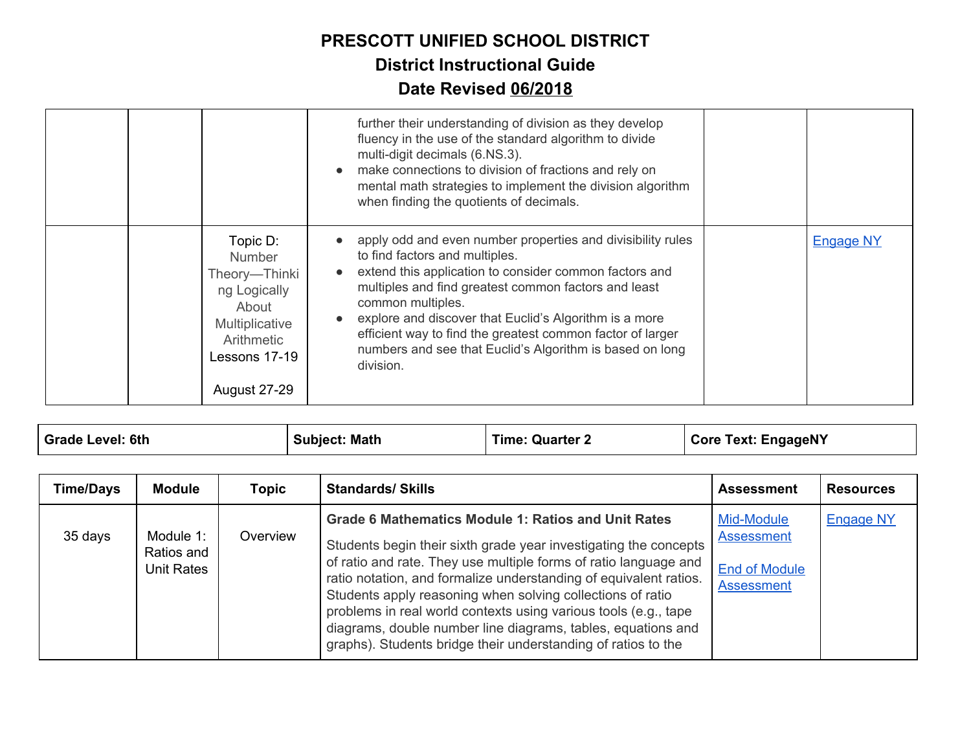|                                                                                                                                             | further their understanding of division as they develop<br>fluency in the use of the standard algorithm to divide<br>multi-digit decimals (6.NS.3).<br>make connections to division of fractions and rely on<br>$\bullet$<br>mental math strategies to implement the division algorithm<br>when finding the quotients of decimals.                                                                                                    |                  |
|---------------------------------------------------------------------------------------------------------------------------------------------|---------------------------------------------------------------------------------------------------------------------------------------------------------------------------------------------------------------------------------------------------------------------------------------------------------------------------------------------------------------------------------------------------------------------------------------|------------------|
| Topic D:<br><b>Number</b><br>Theory-Thinki<br>ng Logically<br>About<br>Multiplicative<br>Arithmetic<br>Lessons 17-19<br><b>August 27-29</b> | apply odd and even number properties and divisibility rules<br>to find factors and multiples.<br>extend this application to consider common factors and<br>multiples and find greatest common factors and least<br>common multiples.<br>explore and discover that Euclid's Algorithm is a more<br>efficient way to find the greatest common factor of larger<br>numbers and see that Euclid's Algorithm is based on long<br>division. | <b>Engage NY</b> |

| Grade Level: 6th | <b>Subject: Math</b> | <b>Time: Quarter 2</b> | Core Text: EngageNY |
|------------------|----------------------|------------------------|---------------------|
|                  |                      |                        |                     |

| <b>Time/Days</b> | Module                                | Topic    | <b>Standards/ Skills</b>                                                                                                                                                                                                                                                                                                                                                                                                                                                                                                                  | <b>Assessment</b>                                                            | <b>Resources</b> |
|------------------|---------------------------------------|----------|-------------------------------------------------------------------------------------------------------------------------------------------------------------------------------------------------------------------------------------------------------------------------------------------------------------------------------------------------------------------------------------------------------------------------------------------------------------------------------------------------------------------------------------------|------------------------------------------------------------------------------|------------------|
| 35 days          | Module 1:<br>Ratios and<br>Unit Rates | Overview | <b>Grade 6 Mathematics Module 1: Ratios and Unit Rates</b><br>Students begin their sixth grade year investigating the concepts<br>of ratio and rate. They use multiple forms of ratio language and<br>ratio notation, and formalize understanding of equivalent ratios.<br>Students apply reasoning when solving collections of ratio<br>problems in real world contexts using various tools (e.g., tape<br>diagrams, double number line diagrams, tables, equations and<br>graphs). Students bridge their understanding of ratios to the | Mid-Module<br><b>Assessment</b><br><b>End of Module</b><br><b>Assessment</b> | <b>Engage NY</b> |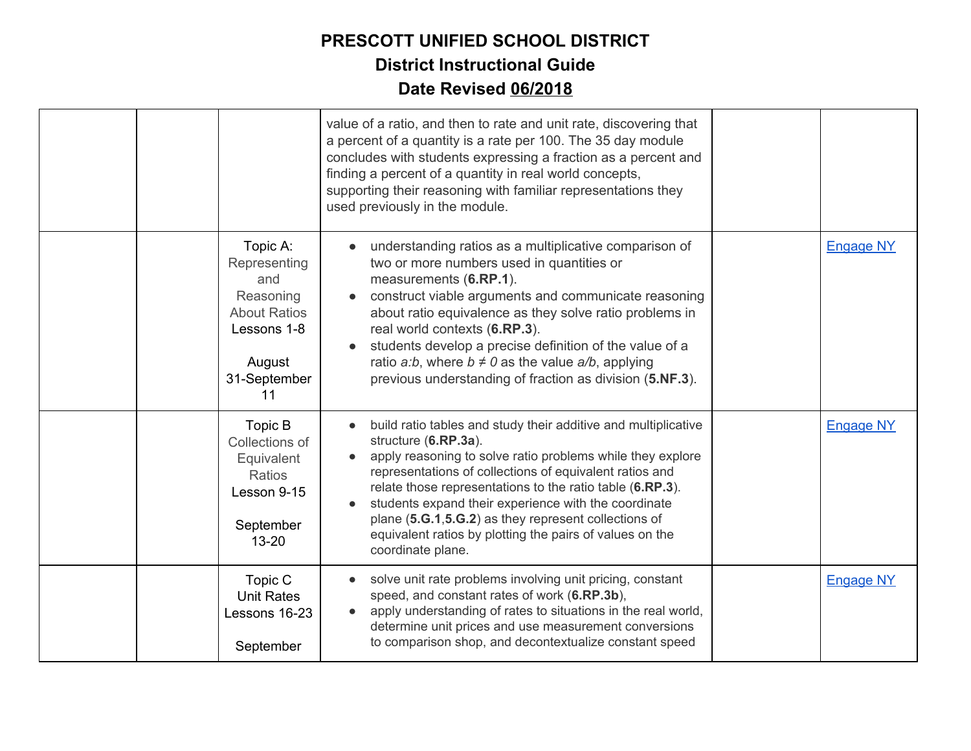|  |                                                                                                                    | value of a ratio, and then to rate and unit rate, discovering that<br>a percent of a quantity is a rate per 100. The 35 day module<br>concludes with students expressing a fraction as a percent and<br>finding a percent of a quantity in real world concepts,<br>supporting their reasoning with familiar representations they<br>used previously in the module.                                                                                                             |                  |
|--|--------------------------------------------------------------------------------------------------------------------|--------------------------------------------------------------------------------------------------------------------------------------------------------------------------------------------------------------------------------------------------------------------------------------------------------------------------------------------------------------------------------------------------------------------------------------------------------------------------------|------------------|
|  | Topic A:<br>Representing<br>and<br>Reasoning<br><b>About Ratios</b><br>Lessons 1-8<br>August<br>31-September<br>11 | understanding ratios as a multiplicative comparison of<br>two or more numbers used in quantities or<br>measurements (6.RP.1).<br>construct viable arguments and communicate reasoning<br>about ratio equivalence as they solve ratio problems in<br>real world contexts (6.RP.3).<br>students develop a precise definition of the value of a<br>ratio <i>a:b</i> , where $b \neq 0$ as the value $a/b$ , applying<br>previous understanding of fraction as division (5.NF.3).  | <b>Engage NY</b> |
|  | Topic B<br>Collections of<br>Equivalent<br><b>Ratios</b><br>Lesson 9-15<br>September<br>$13 - 20$                  | build ratio tables and study their additive and multiplicative<br>structure (6.RP.3a).<br>apply reasoning to solve ratio problems while they explore<br>representations of collections of equivalent ratios and<br>relate those representations to the ratio table (6.RP.3).<br>students expand their experience with the coordinate<br>plane (5.G.1, 5.G.2) as they represent collections of<br>equivalent ratios by plotting the pairs of values on the<br>coordinate plane. | <b>Engage NY</b> |
|  | Topic C<br><b>Unit Rates</b><br>Lessons 16-23<br>September                                                         | solve unit rate problems involving unit pricing, constant<br>speed, and constant rates of work (6.RP.3b),<br>apply understanding of rates to situations in the real world,<br>determine unit prices and use measurement conversions<br>to comparison shop, and decontextualize constant speed                                                                                                                                                                                  | <b>Engage NY</b> |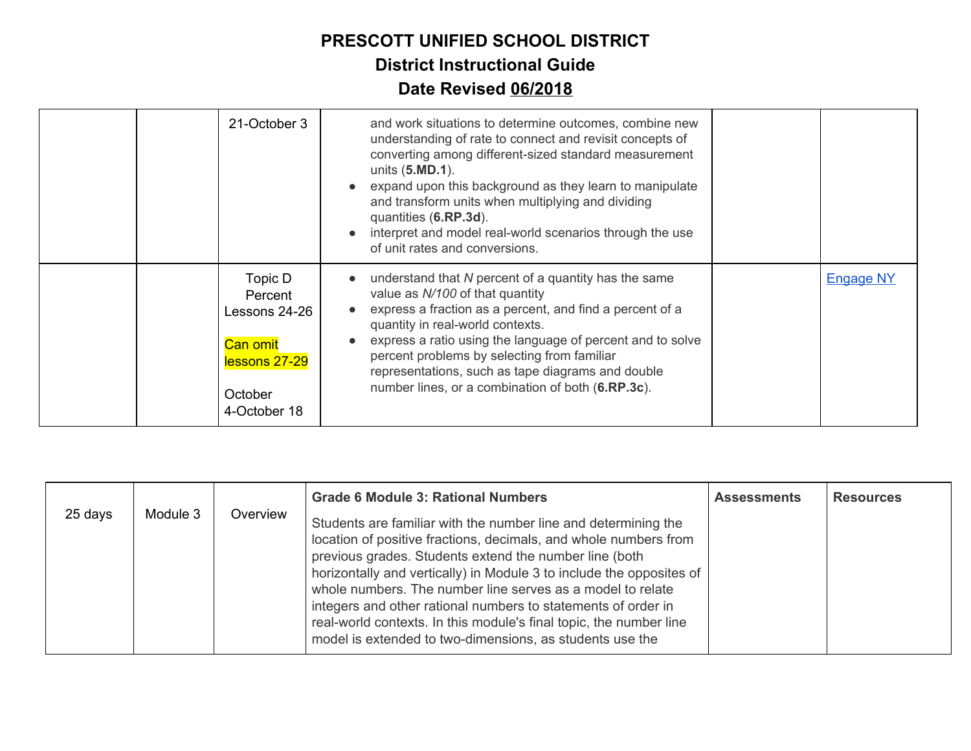| 21-October 3                                                                                       | and work situations to determine outcomes, combine new<br>understanding of rate to connect and revisit concepts of<br>converting among different-sized standard measurement<br>units (5.MD.1).<br>expand upon this background as they learn to manipulate<br>and transform units when multiplying and dividing<br>quantities (6.RP.3d).<br>interpret and model real-world scenarios through the use<br>of unit rates and conversions. |                  |
|----------------------------------------------------------------------------------------------------|---------------------------------------------------------------------------------------------------------------------------------------------------------------------------------------------------------------------------------------------------------------------------------------------------------------------------------------------------------------------------------------------------------------------------------------|------------------|
| Topic D<br>Percent<br>Lessons 24-26<br><b>Can omit</b><br>lessons 27-29<br>October<br>4-October 18 | understand that N percent of a quantity has the same<br>value as N/100 of that quantity<br>express a fraction as a percent, and find a percent of a<br>quantity in real-world contexts.<br>express a ratio using the language of percent and to solve<br>percent problems by selecting from familiar<br>representations, such as tape diagrams and double<br>number lines, or a combination of both (6.RP.3c).                        | <b>Engage NY</b> |

| 25 days | Module 3 | Overview | <b>Grade 6 Module 3: Rational Numbers</b><br>Students are familiar with the number line and determining the<br>location of positive fractions, decimals, and whole numbers from<br>previous grades. Students extend the number line (both<br>horizontally and vertically) in Module 3 to include the opposites of<br>whole numbers. The number line serves as a model to relate | <b>Assessments</b> | <b>Resources</b> |
|---------|----------|----------|---------------------------------------------------------------------------------------------------------------------------------------------------------------------------------------------------------------------------------------------------------------------------------------------------------------------------------------------------------------------------------|--------------------|------------------|
|         |          |          | integers and other rational numbers to statements of order in<br>real-world contexts. In this module's final topic, the number line<br>model is extended to two-dimensions, as students use the                                                                                                                                                                                 |                    |                  |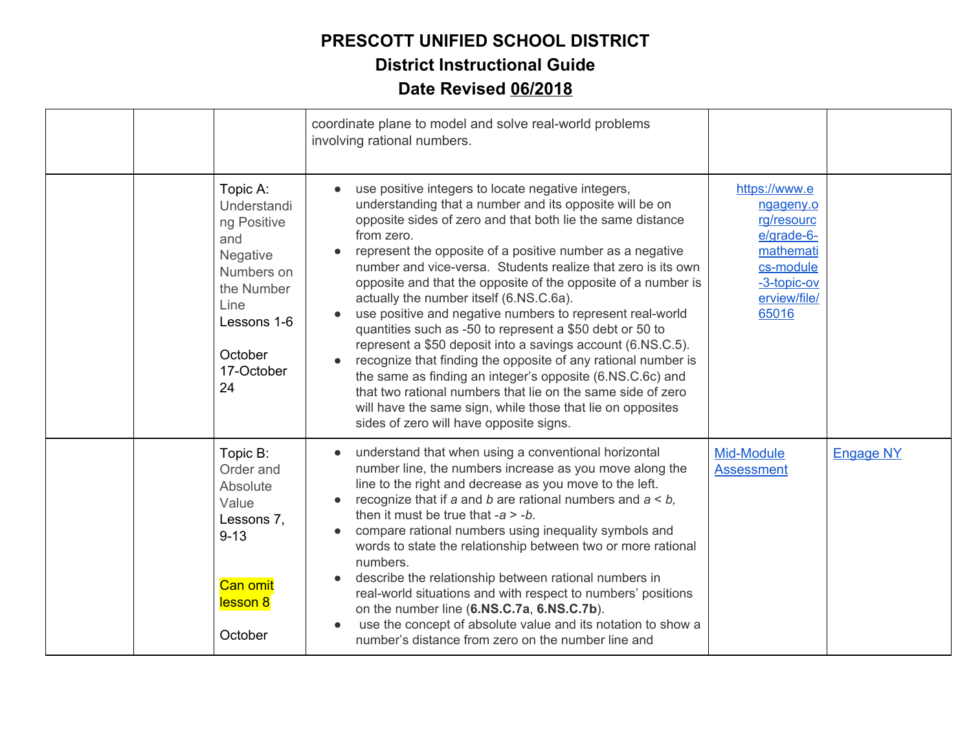|  |                                                                                                                                                    | coordinate plane to model and solve real-world problems<br>involving rational numbers.                                                                                                                                                                                                                                                                                                                                                                                                                                                                                                                                                                                                                                                                                                                                                                                                                                           |                                                                                                                          |                  |
|--|----------------------------------------------------------------------------------------------------------------------------------------------------|----------------------------------------------------------------------------------------------------------------------------------------------------------------------------------------------------------------------------------------------------------------------------------------------------------------------------------------------------------------------------------------------------------------------------------------------------------------------------------------------------------------------------------------------------------------------------------------------------------------------------------------------------------------------------------------------------------------------------------------------------------------------------------------------------------------------------------------------------------------------------------------------------------------------------------|--------------------------------------------------------------------------------------------------------------------------|------------------|
|  | Topic A:<br>Understandi<br>ng Positive<br>and<br><b>Negative</b><br>Numbers on<br>the Number<br>Line<br>Lessons 1-6<br>October<br>17-October<br>24 | use positive integers to locate negative integers,<br>understanding that a number and its opposite will be on<br>opposite sides of zero and that both lie the same distance<br>from zero.<br>represent the opposite of a positive number as a negative<br>number and vice-versa. Students realize that zero is its own<br>opposite and that the opposite of the opposite of a number is<br>actually the number itself (6.NS.C.6a).<br>use positive and negative numbers to represent real-world<br>quantities such as -50 to represent a \$50 debt or 50 to<br>represent a \$50 deposit into a savings account (6.NS.C.5).<br>recognize that finding the opposite of any rational number is<br>the same as finding an integer's opposite (6.NS.C.6c) and<br>that two rational numbers that lie on the same side of zero<br>will have the same sign, while those that lie on opposites<br>sides of zero will have opposite signs. | https://www.e<br>ngageny.o<br>rg/resourc<br>e/grade-6-<br>mathemati<br>cs-module<br>-3-topic-ov<br>erview/file/<br>65016 |                  |
|  | Topic B:<br>Order and<br>Absolute<br>Value<br>Lessons 7,<br>$9 - 13$<br><b>Can omit</b><br>lesson 8<br>October                                     | understand that when using a conventional horizontal<br>number line, the numbers increase as you move along the<br>line to the right and decrease as you move to the left.<br>recognize that if a and b are rational numbers and $a < b$ ,<br>then it must be true that $-a > -b$ .<br>compare rational numbers using inequality symbols and<br>words to state the relationship between two or more rational<br>numbers.<br>describe the relationship between rational numbers in<br>real-world situations and with respect to numbers' positions<br>on the number line (6.NS.C.7a, 6.NS.C.7b).<br>use the concept of absolute value and its notation to show a<br>number's distance from zero on the number line and                                                                                                                                                                                                            | Mid-Module<br><b>Assessment</b>                                                                                          | <b>Engage NY</b> |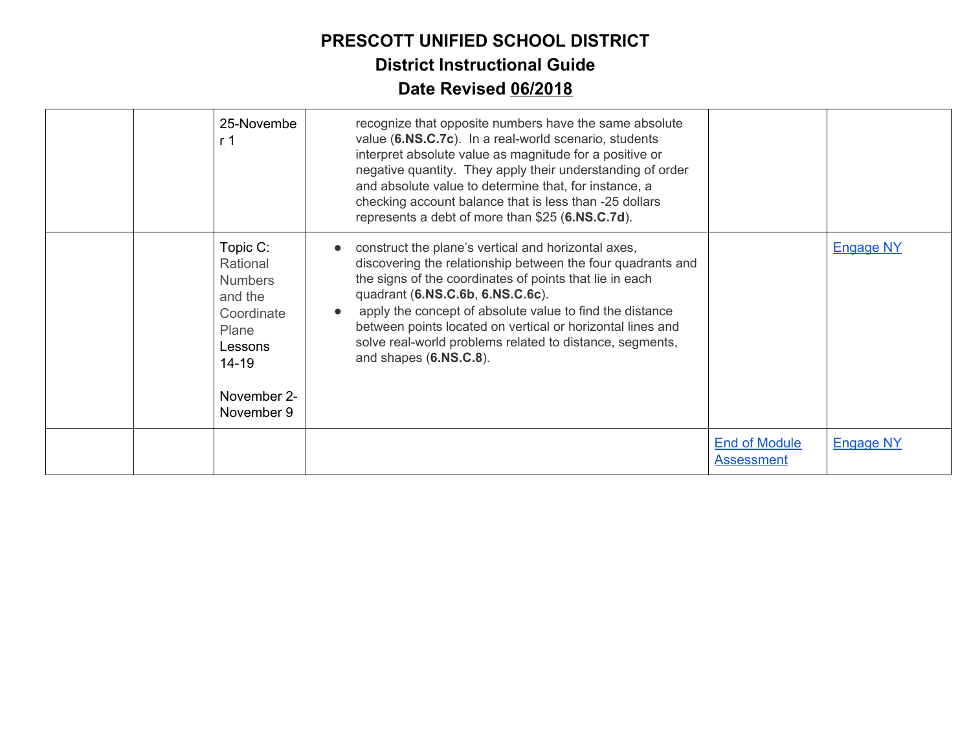|  | 25-Novembe<br>r 1                                                                                                             | recognize that opposite numbers have the same absolute<br>value (6.NS.C.7c). In a real-world scenario, students<br>interpret absolute value as magnitude for a positive or<br>negative quantity. They apply their understanding of order<br>and absolute value to determine that, for instance, a<br>checking account balance that is less than -25 dollars<br>represents a debt of more than \$25 (6.NS.C.7d).                   |                                           |                  |
|--|-------------------------------------------------------------------------------------------------------------------------------|-----------------------------------------------------------------------------------------------------------------------------------------------------------------------------------------------------------------------------------------------------------------------------------------------------------------------------------------------------------------------------------------------------------------------------------|-------------------------------------------|------------------|
|  | Topic C:<br>Rational<br><b>Numbers</b><br>and the<br>Coordinate<br>Plane<br>Lessons<br>$14 - 19$<br>November 2-<br>November 9 | construct the plane's vertical and horizontal axes,<br>discovering the relationship between the four quadrants and<br>the signs of the coordinates of points that lie in each<br>quadrant (6.NS.C.6b, 6.NS.C.6c).<br>apply the concept of absolute value to find the distance<br>between points located on vertical or horizontal lines and<br>solve real-world problems related to distance, segments,<br>and shapes (6.NS.C.8). |                                           | <b>Engage NY</b> |
|  |                                                                                                                               |                                                                                                                                                                                                                                                                                                                                                                                                                                   | <b>End of Module</b><br><b>Assessment</b> | <b>Engage NY</b> |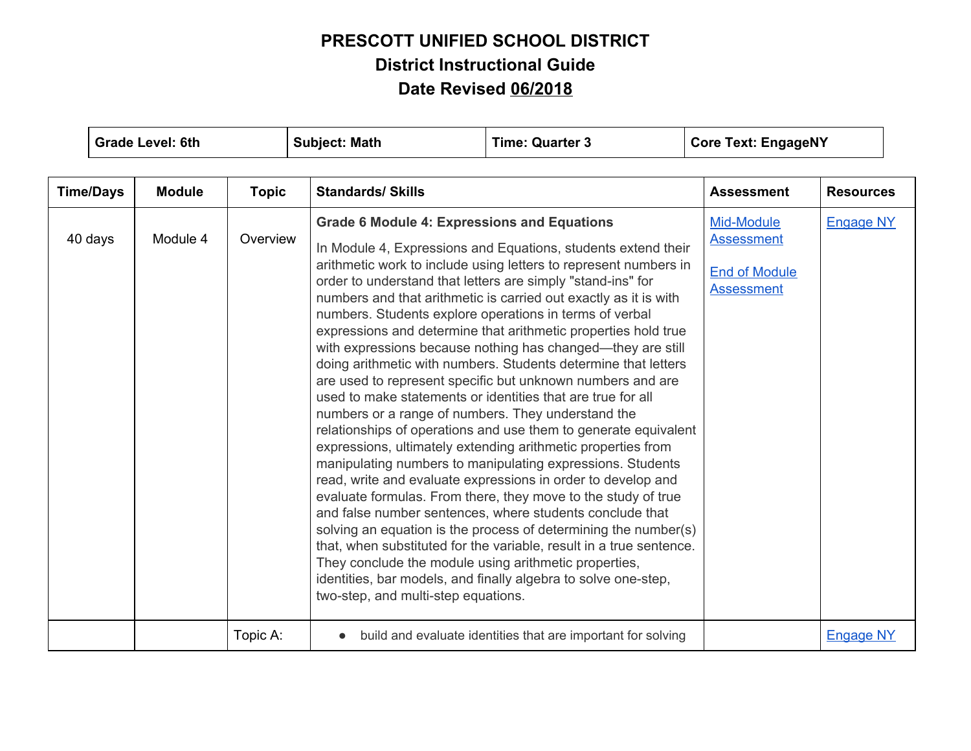|                  | <b>Grade Level: 6th</b> |              | <b>Subject: Math</b>                | <b>Time: Quarter 3</b>                                                                                                                                                                                                                                                                                                                                                                                                                                                                                                                                                                                                                                                                                                                                                                                                                                                                                                                                                                                                                                                                                                                                                                                                                                                                                                                                                                                                                                                                                                                              | <b>Core Text: EngageNY</b> |                  |
|------------------|-------------------------|--------------|-------------------------------------|-----------------------------------------------------------------------------------------------------------------------------------------------------------------------------------------------------------------------------------------------------------------------------------------------------------------------------------------------------------------------------------------------------------------------------------------------------------------------------------------------------------------------------------------------------------------------------------------------------------------------------------------------------------------------------------------------------------------------------------------------------------------------------------------------------------------------------------------------------------------------------------------------------------------------------------------------------------------------------------------------------------------------------------------------------------------------------------------------------------------------------------------------------------------------------------------------------------------------------------------------------------------------------------------------------------------------------------------------------------------------------------------------------------------------------------------------------------------------------------------------------------------------------------------------------|----------------------------|------------------|
| <b>Time/Days</b> | <b>Module</b>           | <b>Topic</b> | <b>Standards/ Skills</b>            |                                                                                                                                                                                                                                                                                                                                                                                                                                                                                                                                                                                                                                                                                                                                                                                                                                                                                                                                                                                                                                                                                                                                                                                                                                                                                                                                                                                                                                                                                                                                                     |                            | <b>Resources</b> |
| 40 days          | Module 4                | Overview     | two-step, and multi-step equations. | <b>Assessment</b><br><b>Grade 6 Module 4: Expressions and Equations</b><br>Mid-Module<br><b>Assessment</b><br>In Module 4, Expressions and Equations, students extend their<br>arithmetic work to include using letters to represent numbers in<br><b>End of Module</b><br>order to understand that letters are simply "stand-ins" for<br><b>Assessment</b><br>numbers and that arithmetic is carried out exactly as it is with<br>numbers. Students explore operations in terms of verbal<br>expressions and determine that arithmetic properties hold true<br>with expressions because nothing has changed—they are still<br>doing arithmetic with numbers. Students determine that letters<br>are used to represent specific but unknown numbers and are<br>used to make statements or identities that are true for all<br>numbers or a range of numbers. They understand the<br>relationships of operations and use them to generate equivalent<br>expressions, ultimately extending arithmetic properties from<br>manipulating numbers to manipulating expressions. Students<br>read, write and evaluate expressions in order to develop and<br>evaluate formulas. From there, they move to the study of true<br>and false number sentences, where students conclude that<br>solving an equation is the process of determining the number(s)<br>that, when substituted for the variable, result in a true sentence.<br>They conclude the module using arithmetic properties,<br>identities, bar models, and finally algebra to solve one-step, |                            | <b>Engage NY</b> |
|                  |                         | Topic A:     | $\bullet$                           | build and evaluate identities that are important for solving                                                                                                                                                                                                                                                                                                                                                                                                                                                                                                                                                                                                                                                                                                                                                                                                                                                                                                                                                                                                                                                                                                                                                                                                                                                                                                                                                                                                                                                                                        |                            | <b>Engage NY</b> |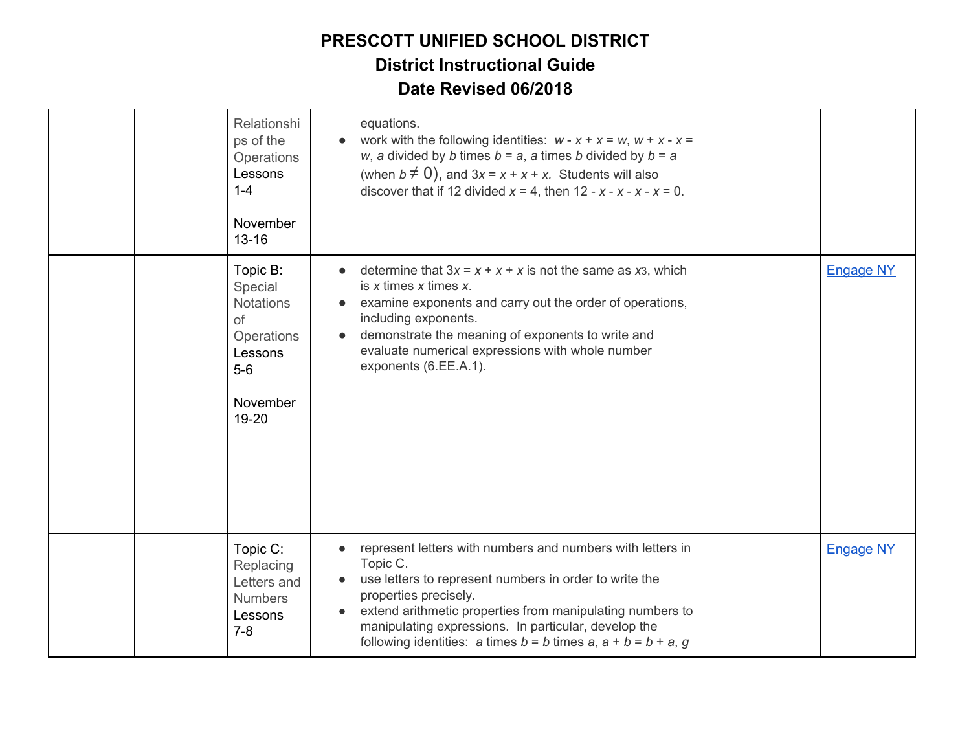|  | Relationshi<br>ps of the<br>Operations<br>Lessons<br>$1 - 4$<br>November<br>$13 - 16$                | equations.<br>work with the following identities: $w - x + x = w$ , $w + x - x = 0$<br>$\bullet$<br>w, a divided by b times $b = a$ , a times b divided by $b = a$<br>(when $b \neq 0$ ), and $3x = x + x + x$ . Students will also<br>discover that if 12 divided $x = 4$ , then 12 - $x - x - x - x = 0$ .                                        |                  |
|--|------------------------------------------------------------------------------------------------------|-----------------------------------------------------------------------------------------------------------------------------------------------------------------------------------------------------------------------------------------------------------------------------------------------------------------------------------------------------|------------------|
|  | Topic B:<br>Special<br><b>Notations</b><br>of<br>Operations<br>Lessons<br>$5-6$<br>November<br>19-20 | determine that $3x = x + x + x$ is not the same as x <sub>3</sub> , which<br>$\bullet$<br>is $x$ times $x$ times $x$ .<br>examine exponents and carry out the order of operations,<br>including exponents.<br>demonstrate the meaning of exponents to write and<br>evaluate numerical expressions with whole number<br>exponents (6.EE.A.1).        | <b>Engage NY</b> |
|  | Topic C:<br>Replacing<br>Letters and<br><b>Numbers</b><br>Lessons<br>$7 - 8$                         | represent letters with numbers and numbers with letters in<br>Topic C.<br>use letters to represent numbers in order to write the<br>properties precisely.<br>extend arithmetic properties from manipulating numbers to<br>manipulating expressions. In particular, develop the<br>following identities: a times $b = b$ times $a, a + b = b + a, g$ | <b>Engage NY</b> |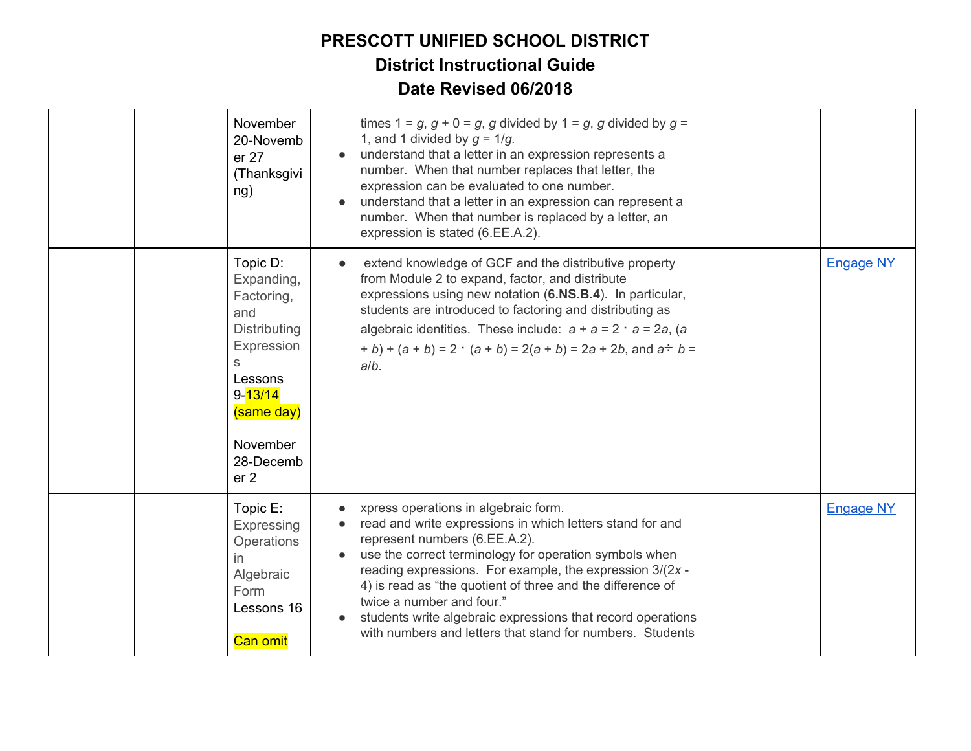| er 27<br>ng)                                                                    | November<br>20-Novemb<br>(Thanksgivi                                                                | times $1 = g$ , $g + 0 = g$ , g divided by $1 = g$ , g divided by $g =$<br>1, and 1 divided by $g = 1/g$ .<br>understand that a letter in an expression represents a<br>number. When that number replaces that letter, the<br>expression can be evaluated to one number.<br>understand that a letter in an expression can represent a<br>number. When that number is replaced by a letter, an<br>expression is stated (6.EE.A.2).                                               |                  |
|---------------------------------------------------------------------------------|-----------------------------------------------------------------------------------------------------|---------------------------------------------------------------------------------------------------------------------------------------------------------------------------------------------------------------------------------------------------------------------------------------------------------------------------------------------------------------------------------------------------------------------------------------------------------------------------------|------------------|
| Topic D:<br>Factoring,<br>and<br>S<br>Lessons<br>$9 - 13/14$<br>er <sub>2</sub> | $\bullet$<br>Expanding,<br><b>Distributing</b><br>Expression<br>(same day)<br>November<br>28-Decemb | extend knowledge of GCF and the distributive property<br>from Module 2 to expand, factor, and distribute<br>expressions using new notation (6.NS.B.4). In particular,<br>students are introduced to factoring and distributing as<br>algebraic identities. These include: $a + a = 2 \cdot a = 2a$ , (a<br>+ b) + $(a + b) = 2 \cdot (a + b) = 2(a + b) = 2a + 2b$ , and $a \div b =$<br>$a/b$ .                                                                                | <b>Engage NY</b> |
| Topic E:<br>in<br>Algebraic<br>Form<br><b>Can omit</b>                          | Expressing<br>Operations<br>Lessons 16                                                              | xpress operations in algebraic form.<br>read and write expressions in which letters stand for and<br>represent numbers (6.EE.A.2).<br>use the correct terminology for operation symbols when<br>reading expressions. For example, the expression 3/(2x -<br>4) is read as "the quotient of three and the difference of<br>twice a number and four."<br>students write algebraic expressions that record operations<br>with numbers and letters that stand for numbers. Students | <b>Engage NY</b> |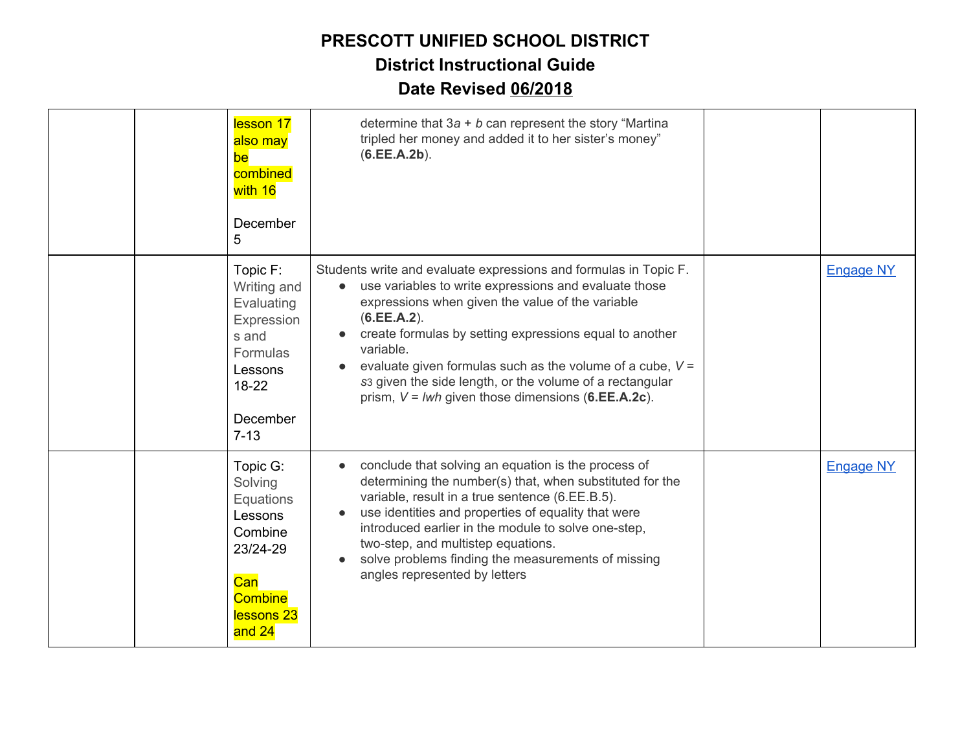|  | lesson 17<br>also may<br>be<br>combined<br>with 16<br>December<br>5                                                    | determine that $3a + b$ can represent the story "Martina<br>tripled her money and added it to her sister's money"<br>(6.EE.A.2b).                                                                                                                                                                                                                                                                                                                                    |                  |
|--|------------------------------------------------------------------------------------------------------------------------|----------------------------------------------------------------------------------------------------------------------------------------------------------------------------------------------------------------------------------------------------------------------------------------------------------------------------------------------------------------------------------------------------------------------------------------------------------------------|------------------|
|  | Topic F:<br>Writing and<br>Evaluating<br>Expression<br>s and<br>Formulas<br>Lessons<br>$18-22$<br>December<br>$7 - 13$ | Students write and evaluate expressions and formulas in Topic F.<br>use variables to write expressions and evaluate those<br>$\bullet$<br>expressions when given the value of the variable<br>(6.EE.A.2).<br>create formulas by setting expressions equal to another<br>variable.<br>evaluate given formulas such as the volume of a cube, $V =$<br>s3 given the side length, or the volume of a rectangular<br>prism, $V = lwh$ given those dimensions (6.EE.A.2c). | <b>Engage NY</b> |
|  | Topic G:<br>Solving<br>Equations<br>Lessons<br>Combine<br>23/24-29<br>Can<br><b>Combine</b><br>lessons 23<br>and 24    | conclude that solving an equation is the process of<br>$\bullet$<br>determining the number(s) that, when substituted for the<br>variable, result in a true sentence (6.EE.B.5).<br>use identities and properties of equality that were<br>introduced earlier in the module to solve one-step,<br>two-step, and multistep equations.<br>solve problems finding the measurements of missing<br>angles represented by letters                                           | <b>Engage NY</b> |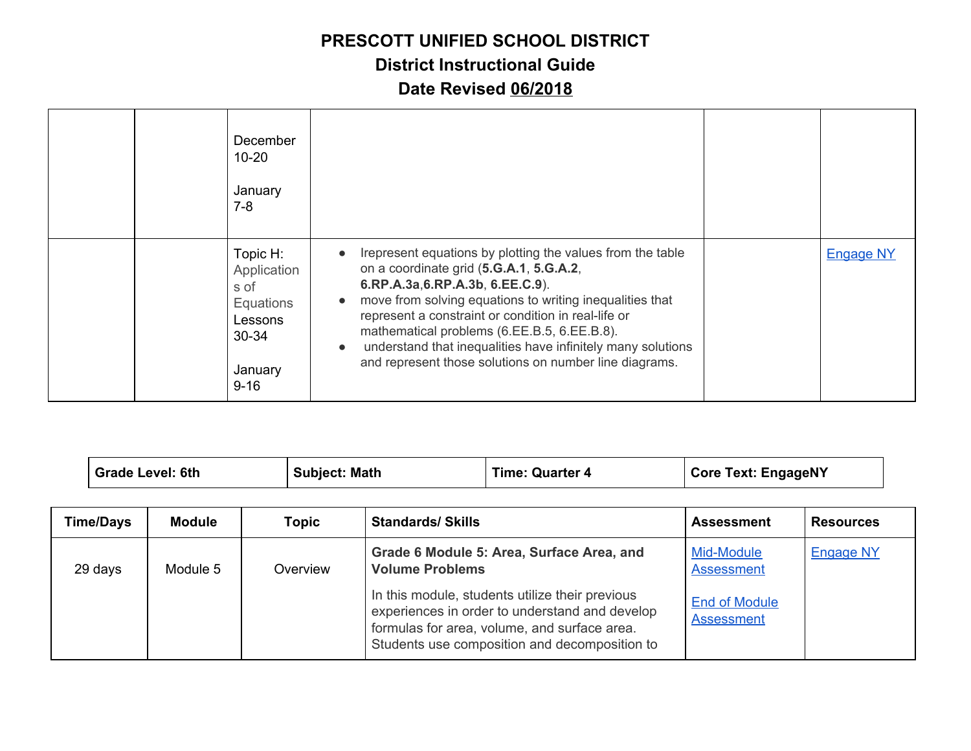#### **PRESCOTT UNIFIED SCHOOL DISTRICT**

### **District Instructional Guide**

### **Date Revised 06/2018**

| December<br>$10 - 20$<br>January<br>$7 - 8$                                                 |                                                                                                                                                                                                                                                                                                                                                                                                                                                                            |                  |
|---------------------------------------------------------------------------------------------|----------------------------------------------------------------------------------------------------------------------------------------------------------------------------------------------------------------------------------------------------------------------------------------------------------------------------------------------------------------------------------------------------------------------------------------------------------------------------|------------------|
| Topic H:<br>Application<br>s of<br>Equations<br>Lessons<br>$30 - 34$<br>January<br>$9 - 16$ | Irepresent equations by plotting the values from the table<br>$\bullet$<br>on a coordinate grid (5.G.A.1, 5.G.A.2,<br>6.RP.A.3a,6.RP.A.3b, 6.EE.C.9).<br>move from solving equations to writing inequalities that<br>$\bullet$<br>represent a constraint or condition in real-life or<br>mathematical problems (6.EE.B.5, 6.EE.B.8).<br>understand that inequalities have infinitely many solutions<br>$\bullet$<br>and represent those solutions on number line diagrams. | <b>Engage NY</b> |

| <b>Grade Level: 6th</b> |               | <b>Subject: Math</b> | <b>Time: Quarter 4</b>  |                                                                                                                                                                                                    | <b>Core Text: EngageNY</b>                |                  |  |
|-------------------------|---------------|----------------------|-------------------------|----------------------------------------------------------------------------------------------------------------------------------------------------------------------------------------------------|-------------------------------------------|------------------|--|
| <b>Time/Days</b>        | <b>Module</b> | <b>Topic</b>         | <b>Standards/Skills</b> |                                                                                                                                                                                                    | <b>Assessment</b>                         | <b>Resources</b> |  |
| 29 days                 | Module 5      | Overview             | <b>Volume Problems</b>  | Grade 6 Module 5: Area, Surface Area, and                                                                                                                                                          | Mid-Module<br><b>Assessment</b>           | <b>Engage NY</b> |  |
|                         |               |                      |                         | In this module, students utilize their previous<br>experiences in order to understand and develop<br>formulas for area, volume, and surface area.<br>Students use composition and decomposition to | <b>End of Module</b><br><b>Assessment</b> |                  |  |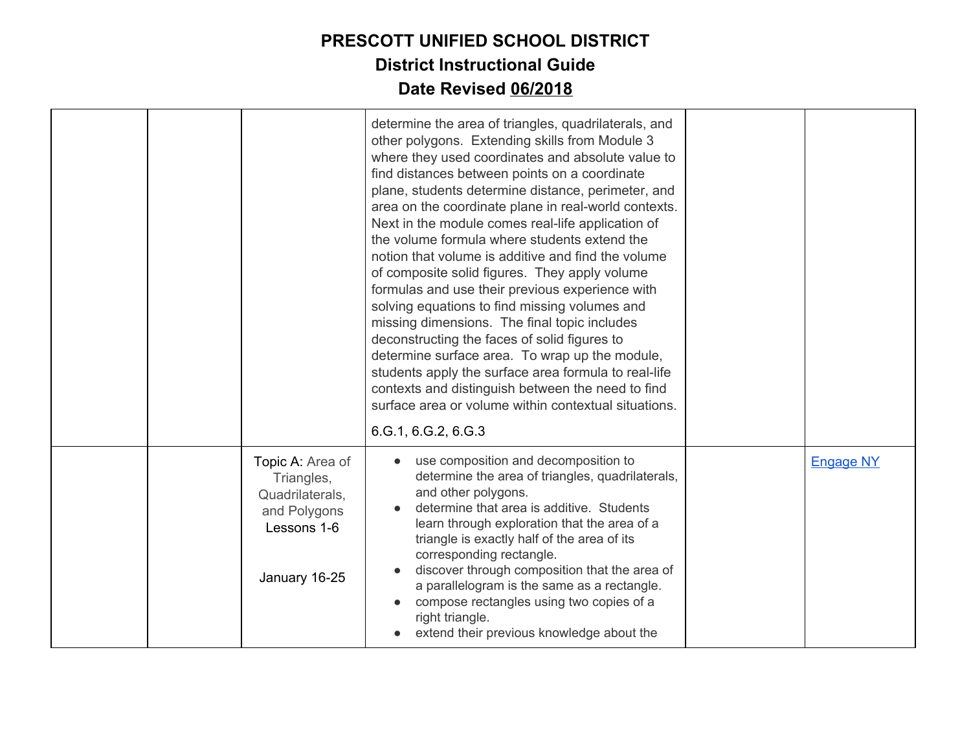|  |                                                                                                   | determine the area of triangles, quadrilaterals, and<br>other polygons. Extending skills from Module 3<br>where they used coordinates and absolute value to<br>find distances between points on a coordinate<br>plane, students determine distance, perimeter, and<br>area on the coordinate plane in real-world contexts.<br>Next in the module comes real-life application of<br>the volume formula where students extend the<br>notion that volume is additive and find the volume<br>of composite solid figures. They apply volume<br>formulas and use their previous experience with<br>solving equations to find missing volumes and<br>missing dimensions. The final topic includes<br>deconstructing the faces of solid figures to<br>determine surface area. To wrap up the module,<br>students apply the surface area formula to real-life<br>contexts and distinguish between the need to find<br>surface area or volume within contextual situations.<br>6.G.1, 6.G.2, 6.G.3 |                  |
|--|---------------------------------------------------------------------------------------------------|------------------------------------------------------------------------------------------------------------------------------------------------------------------------------------------------------------------------------------------------------------------------------------------------------------------------------------------------------------------------------------------------------------------------------------------------------------------------------------------------------------------------------------------------------------------------------------------------------------------------------------------------------------------------------------------------------------------------------------------------------------------------------------------------------------------------------------------------------------------------------------------------------------------------------------------------------------------------------------------|------------------|
|  | Topic A: Area of<br>Triangles,<br>Quadrilaterals,<br>and Polygons<br>Lessons 1-6<br>January 16-25 | use composition and decomposition to<br>determine the area of triangles, quadrilaterals,<br>and other polygons.<br>determine that area is additive. Students<br>learn through exploration that the area of a<br>triangle is exactly half of the area of its<br>corresponding rectangle.<br>discover through composition that the area of<br>a parallelogram is the same as a rectangle.<br>compose rectangles using two copies of a<br>right triangle.<br>extend their previous knowledge about the                                                                                                                                                                                                                                                                                                                                                                                                                                                                                      | <b>Engage NY</b> |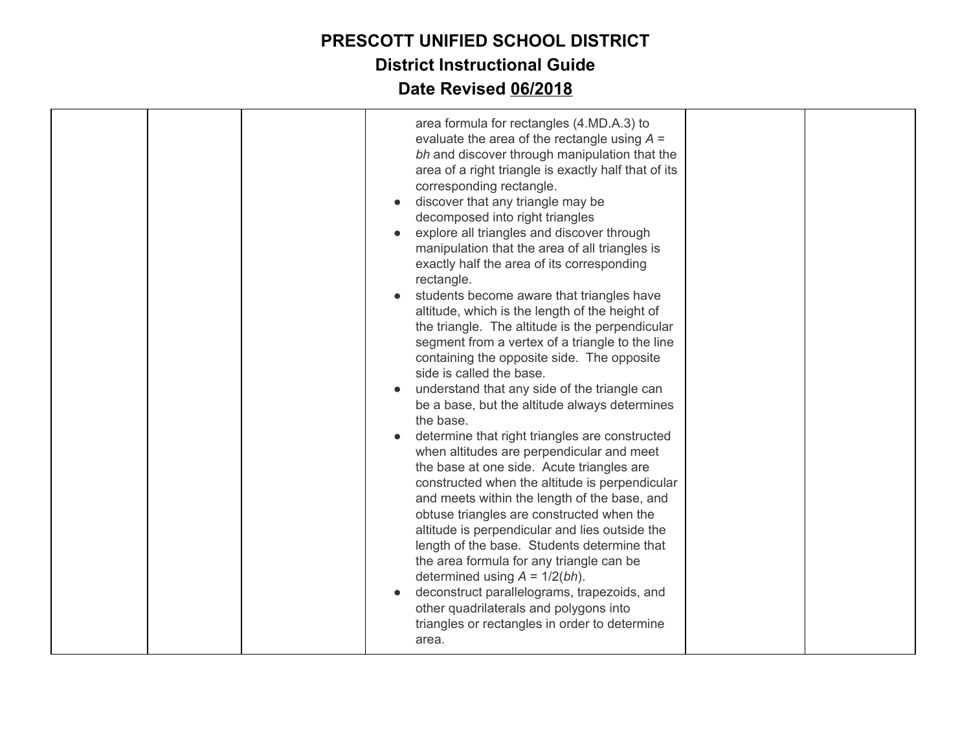|  | area formula for rectangles (4.MD.A.3) to                                                                                                                                                                                                                                                                                                                                                                                                                                                                                                                                                                                                                                                                                                                                                                                                                                                                                                                                                                                                                                                                                                                                                                                                                                                                                                                                                                                                           |  |
|--|-----------------------------------------------------------------------------------------------------------------------------------------------------------------------------------------------------------------------------------------------------------------------------------------------------------------------------------------------------------------------------------------------------------------------------------------------------------------------------------------------------------------------------------------------------------------------------------------------------------------------------------------------------------------------------------------------------------------------------------------------------------------------------------------------------------------------------------------------------------------------------------------------------------------------------------------------------------------------------------------------------------------------------------------------------------------------------------------------------------------------------------------------------------------------------------------------------------------------------------------------------------------------------------------------------------------------------------------------------------------------------------------------------------------------------------------------------|--|
|  | evaluate the area of the rectangle using $A =$<br>bh and discover through manipulation that the<br>area of a right triangle is exactly half that of its<br>corresponding rectangle.<br>discover that any triangle may be<br>decomposed into right triangles<br>explore all triangles and discover through<br>manipulation that the area of all triangles is<br>exactly half the area of its corresponding<br>rectangle.<br>students become aware that triangles have<br>altitude, which is the length of the height of<br>the triangle. The altitude is the perpendicular<br>segment from a vertex of a triangle to the line<br>containing the opposite side. The opposite<br>side is called the base.<br>understand that any side of the triangle can<br>be a base, but the altitude always determines<br>the base.<br>determine that right triangles are constructed<br>when altitudes are perpendicular and meet<br>the base at one side. Acute triangles are<br>constructed when the altitude is perpendicular<br>and meets within the length of the base, and<br>obtuse triangles are constructed when the<br>altitude is perpendicular and lies outside the<br>length of the base. Students determine that<br>the area formula for any triangle can be<br>determined using $A = 1/2(bh)$ .<br>deconstruct parallelograms, trapezoids, and<br>other quadrilaterals and polygons into<br>triangles or rectangles in order to determine<br>area. |  |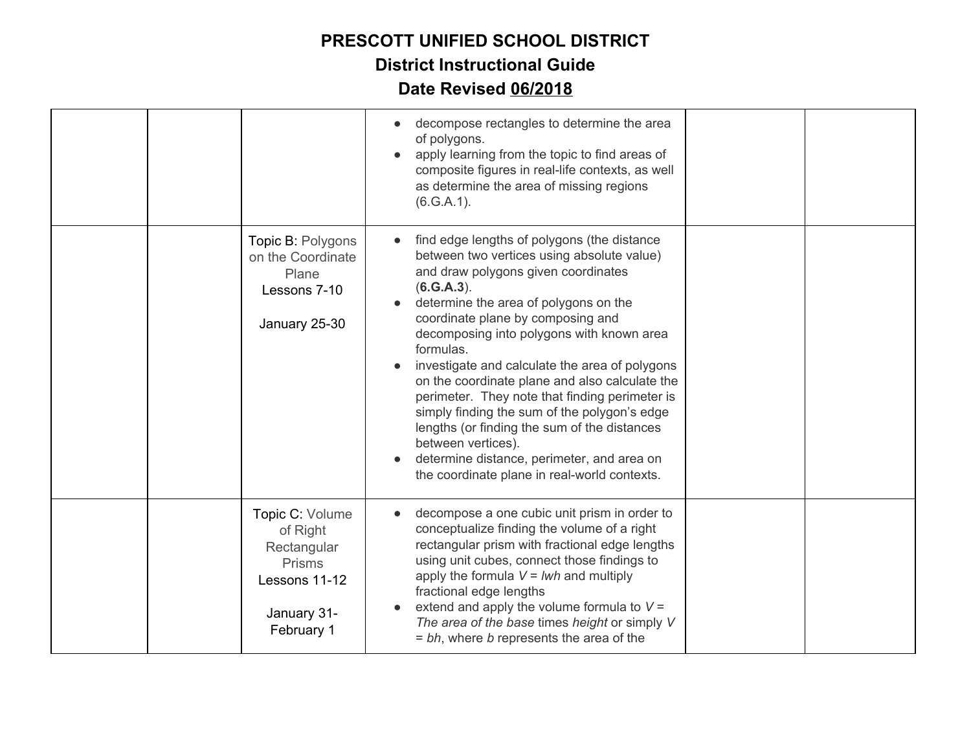|  |                                                                                                    | decompose rectangles to determine the area<br>of polygons.<br>apply learning from the topic to find areas of<br>composite figures in real-life contexts, as well<br>as determine the area of missing regions<br>(6.G.A.1).                                                                                                                                                                                                                                                                                                                                                                                                                                       |  |
|--|----------------------------------------------------------------------------------------------------|------------------------------------------------------------------------------------------------------------------------------------------------------------------------------------------------------------------------------------------------------------------------------------------------------------------------------------------------------------------------------------------------------------------------------------------------------------------------------------------------------------------------------------------------------------------------------------------------------------------------------------------------------------------|--|
|  | Topic B: Polygons<br>on the Coordinate<br>Plane<br>Lessons 7-10<br>January 25-30                   | find edge lengths of polygons (the distance<br>between two vertices using absolute value)<br>and draw polygons given coordinates<br>(6.G.A.3).<br>determine the area of polygons on the<br>coordinate plane by composing and<br>decomposing into polygons with known area<br>formulas.<br>investigate and calculate the area of polygons<br>on the coordinate plane and also calculate the<br>perimeter. They note that finding perimeter is<br>simply finding the sum of the polygon's edge<br>lengths (or finding the sum of the distances<br>between vertices).<br>determine distance, perimeter, and area on<br>the coordinate plane in real-world contexts. |  |
|  | Topic C: Volume<br>of Right<br>Rectangular<br>Prisms<br>Lessons 11-12<br>January 31-<br>February 1 | decompose a one cubic unit prism in order to<br>conceptualize finding the volume of a right<br>rectangular prism with fractional edge lengths<br>using unit cubes, connect those findings to<br>apply the formula $V = Iwh$ and multiply<br>fractional edge lengths<br>extend and apply the volume formula to $V =$<br>The area of the base times height or simply V<br>= bh, where b represents the area of the                                                                                                                                                                                                                                                 |  |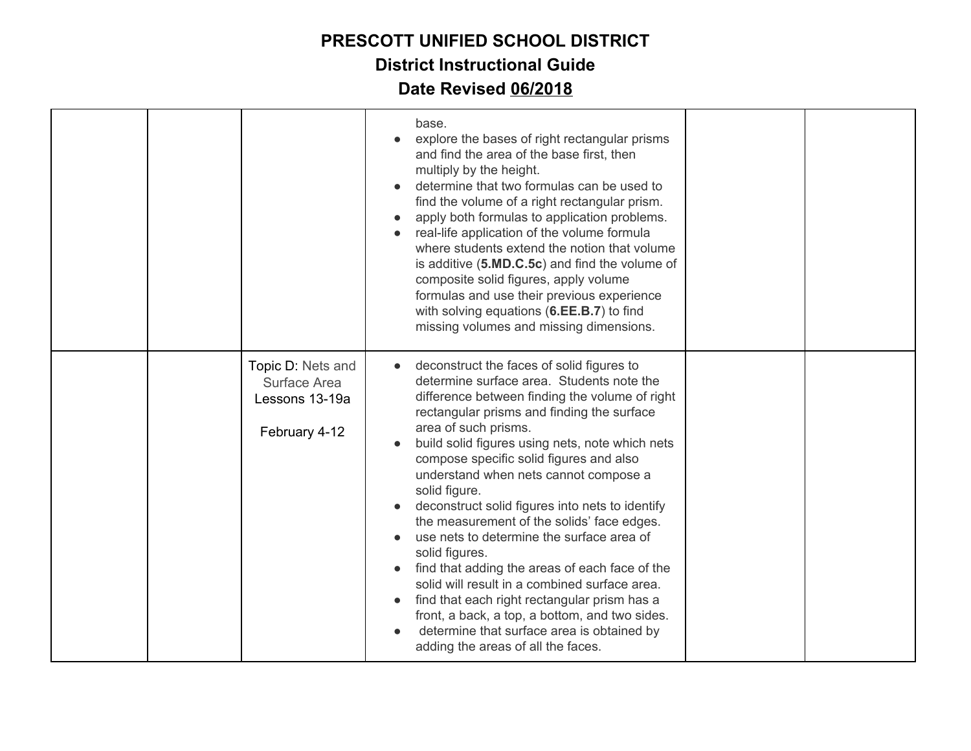|  |                                                                      | base.<br>explore the bases of right rectangular prisms<br>and find the area of the base first, then<br>multiply by the height.<br>determine that two formulas can be used to<br>find the volume of a right rectangular prism.<br>apply both formulas to application problems.<br>real-life application of the volume formula<br>where students extend the notion that volume<br>is additive (5.MD.C.5c) and find the volume of<br>composite solid figures, apply volume<br>formulas and use their previous experience<br>with solving equations (6.EE.B.7) to find<br>missing volumes and missing dimensions.                                                                                                                                                                                                                   |  |
|--|----------------------------------------------------------------------|---------------------------------------------------------------------------------------------------------------------------------------------------------------------------------------------------------------------------------------------------------------------------------------------------------------------------------------------------------------------------------------------------------------------------------------------------------------------------------------------------------------------------------------------------------------------------------------------------------------------------------------------------------------------------------------------------------------------------------------------------------------------------------------------------------------------------------|--|
|  | Topic D: Nets and<br>Surface Area<br>Lessons 13-19a<br>February 4-12 | deconstruct the faces of solid figures to<br>determine surface area. Students note the<br>difference between finding the volume of right<br>rectangular prisms and finding the surface<br>area of such prisms.<br>build solid figures using nets, note which nets<br>compose specific solid figures and also<br>understand when nets cannot compose a<br>solid figure.<br>deconstruct solid figures into nets to identify<br>the measurement of the solids' face edges.<br>use nets to determine the surface area of<br>solid figures.<br>find that adding the areas of each face of the<br>solid will result in a combined surface area.<br>find that each right rectangular prism has a<br>front, a back, a top, a bottom, and two sides.<br>determine that surface area is obtained by<br>adding the areas of all the faces. |  |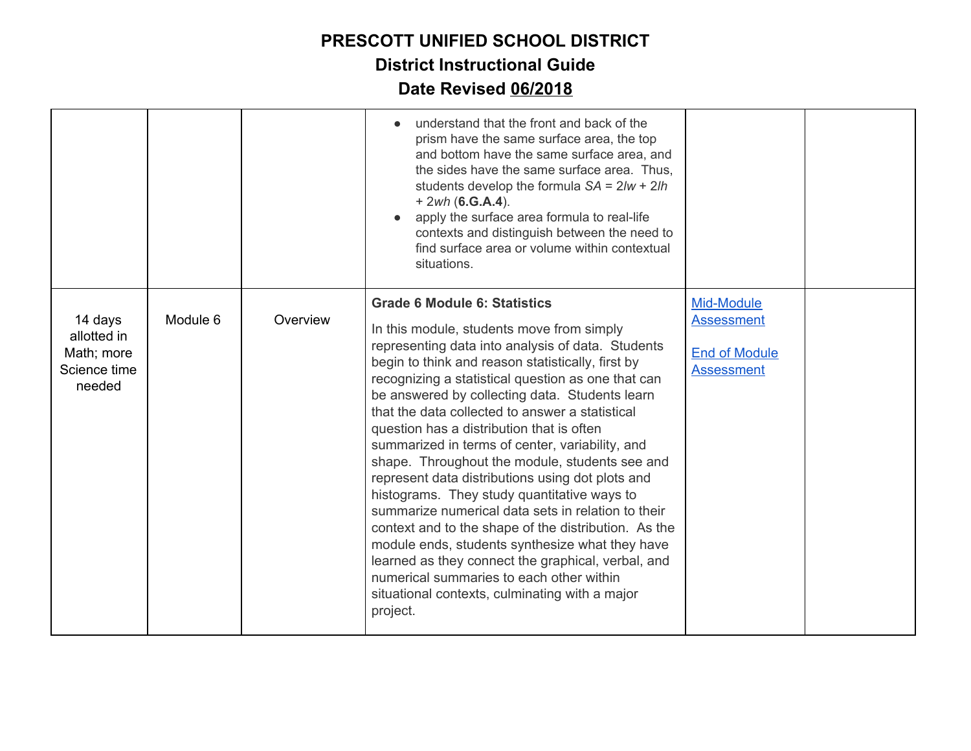|                                                                |          |          | understand that the front and back of the<br>prism have the same surface area, the top<br>and bottom have the same surface area, and<br>the sides have the same surface area. Thus,<br>students develop the formula $SA = 2/w + 2lh$<br>$+ 2wh (6.G.A.4).$<br>apply the surface area formula to real-life<br>contexts and distinguish between the need to<br>find surface area or volume within contextual<br>situations.                                                                                                                                                                                                                                                                                                                                                                                                                                                                                                                   |                                                                              |  |
|----------------------------------------------------------------|----------|----------|---------------------------------------------------------------------------------------------------------------------------------------------------------------------------------------------------------------------------------------------------------------------------------------------------------------------------------------------------------------------------------------------------------------------------------------------------------------------------------------------------------------------------------------------------------------------------------------------------------------------------------------------------------------------------------------------------------------------------------------------------------------------------------------------------------------------------------------------------------------------------------------------------------------------------------------------|------------------------------------------------------------------------------|--|
| 14 days<br>allotted in<br>Math; more<br>Science time<br>needed | Module 6 | Overview | <b>Grade 6 Module 6: Statistics</b><br>In this module, students move from simply<br>representing data into analysis of data. Students<br>begin to think and reason statistically, first by<br>recognizing a statistical question as one that can<br>be answered by collecting data. Students learn<br>that the data collected to answer a statistical<br>question has a distribution that is often<br>summarized in terms of center, variability, and<br>shape. Throughout the module, students see and<br>represent data distributions using dot plots and<br>histograms. They study quantitative ways to<br>summarize numerical data sets in relation to their<br>context and to the shape of the distribution. As the<br>module ends, students synthesize what they have<br>learned as they connect the graphical, verbal, and<br>numerical summaries to each other within<br>situational contexts, culminating with a major<br>project. | Mid-Module<br><b>Assessment</b><br><b>End of Module</b><br><b>Assessment</b> |  |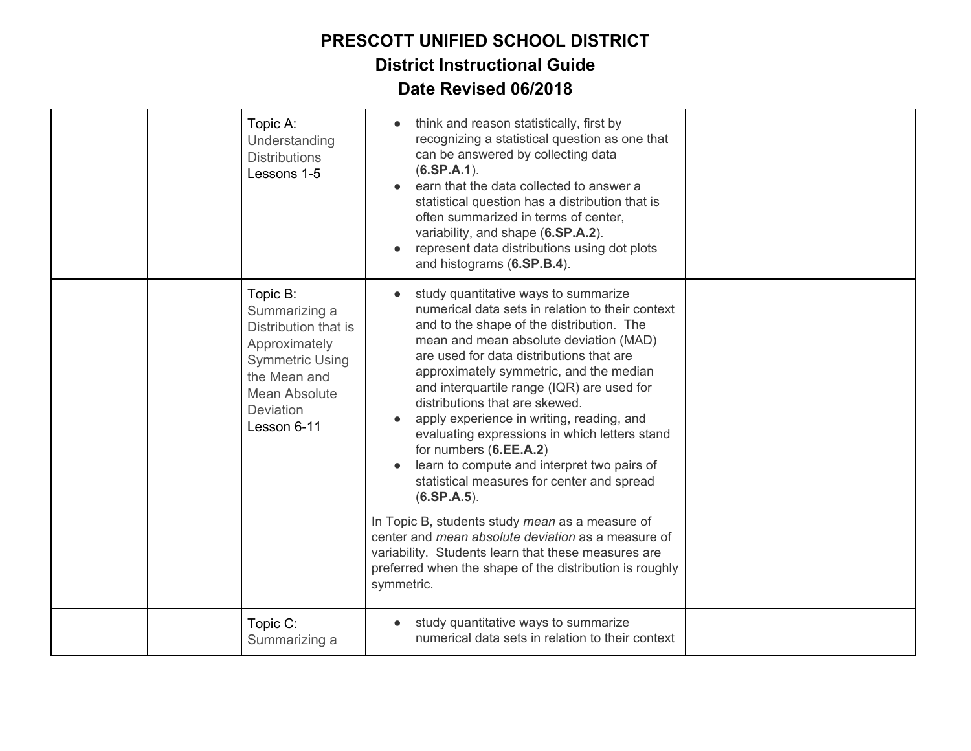|  | Topic A:<br>Understanding<br><b>Distributions</b><br>Lessons 1-5                                                                                                 | think and reason statistically, first by<br>recognizing a statistical question as one that<br>can be answered by collecting data<br>$(6.SP.A.1)$ .<br>earn that the data collected to answer a<br>statistical question has a distribution that is<br>often summarized in terms of center,<br>variability, and shape (6.SP.A.2).<br>represent data distributions using dot plots<br>and histograms (6.SP.B.4).                                                                                                                                                                                                                                                                                                                                                                                                                                    |  |
|--|------------------------------------------------------------------------------------------------------------------------------------------------------------------|--------------------------------------------------------------------------------------------------------------------------------------------------------------------------------------------------------------------------------------------------------------------------------------------------------------------------------------------------------------------------------------------------------------------------------------------------------------------------------------------------------------------------------------------------------------------------------------------------------------------------------------------------------------------------------------------------------------------------------------------------------------------------------------------------------------------------------------------------|--|
|  | Topic B:<br>Summarizing a<br>Distribution that is<br>Approximately<br><b>Symmetric Using</b><br>the Mean and<br>Mean Absolute<br><b>Deviation</b><br>Lesson 6-11 | study quantitative ways to summarize<br>numerical data sets in relation to their context<br>and to the shape of the distribution. The<br>mean and mean absolute deviation (MAD)<br>are used for data distributions that are<br>approximately symmetric, and the median<br>and interquartile range (IQR) are used for<br>distributions that are skewed.<br>apply experience in writing, reading, and<br>evaluating expressions in which letters stand<br>for numbers (6.EE.A.2)<br>learn to compute and interpret two pairs of<br>statistical measures for center and spread<br>$(6.$ SP.A.5 $).$<br>In Topic B, students study mean as a measure of<br>center and <i>mean absolute deviation</i> as a measure of<br>variability. Students learn that these measures are<br>preferred when the shape of the distribution is roughly<br>symmetric. |  |
|  | Topic C:<br>Summarizing a                                                                                                                                        | study quantitative ways to summarize<br>numerical data sets in relation to their context                                                                                                                                                                                                                                                                                                                                                                                                                                                                                                                                                                                                                                                                                                                                                         |  |